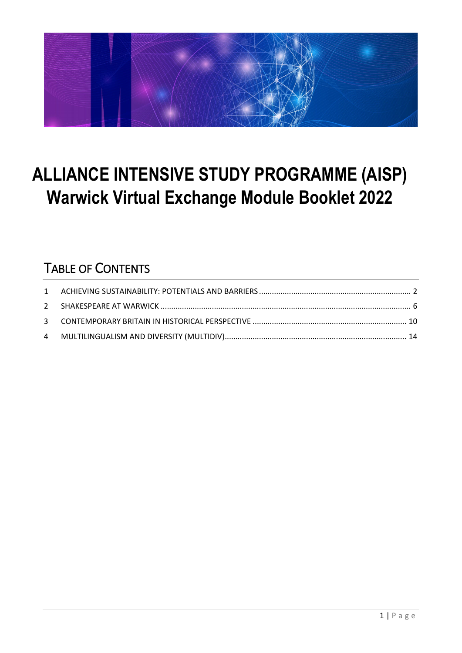

# **ALLIANCE INTENSIVE STUDY PROGRAMME (AISP) Warwick Virtual Exchange Module Booklet 2022**

## TABLE OF CONTENTS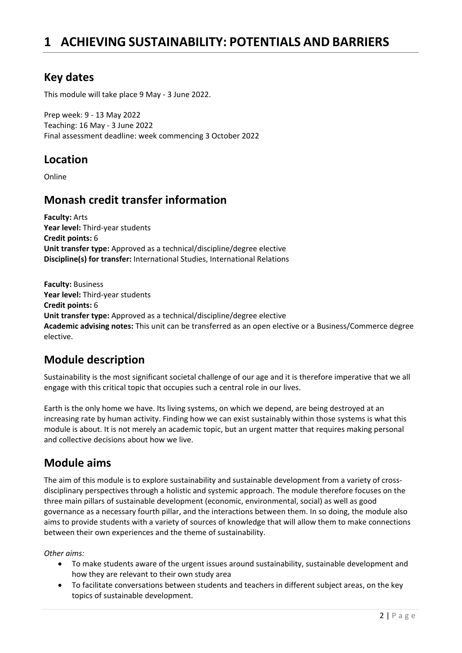## <span id="page-1-0"></span>**1 ACHIEVING SUSTAINABILITY: POTENTIALS AND BARRIERS**

### **Key dates**

This module will take place 9 May - 3 June 2022.

Prep week: 9 - 13 May 2022 Teaching: 16 May - 3 June 2022 Final assessment deadline: week commencing 3 October 2022

### **Location**

Online

### **Monash credit transfer information**

**Faculty:** Arts **Year level:** Third-year students **Credit points:** 6 **Unit transfer type:** Approved as a technical/discipline/degree elective **Discipline(s) for transfer:** International Studies, International Relations

**Faculty:** Business **Year level:** Third-year students **Credit points:** 6 **Unit transfer type:** Approved as a technical/discipline/degree elective **Academic advising notes:** This unit can be transferred as an open elective or a Business/Commerce degree elective.

### **Module description**

Sustainability is the most significant societal challenge of our age and it is therefore imperative that we all engage with this critical topic that occupies such a central role in our lives.

Earth is the only home we have. Its living systems, on which we depend, are being destroyed at an increasing rate by human activity. Finding how we can exist sustainably within those systems is what this module is about. It is not merely an academic topic, but an urgent matter that requires making personal and collective decisions about how we live.

### **Module aims**

The aim of this module is to explore sustainability and sustainable development from a variety of crossdisciplinary perspectives through a holistic and systemic approach. The module therefore focuses on the three main pillars of sustainable development (economic, environmental, social) as well as good governance as a necessary fourth pillar, and the interactions between them. In so doing, the module also aims to provide students with a variety of sources of knowledge that will allow them to make connections between their own experiences and the theme of sustainability.

#### *Other aims:*

- To make students aware of the urgent issues around sustainability, sustainable development and how they are relevant to their own study area
- To facilitate conversations between students and teachers in different subject areas, on the key topics of sustainable development.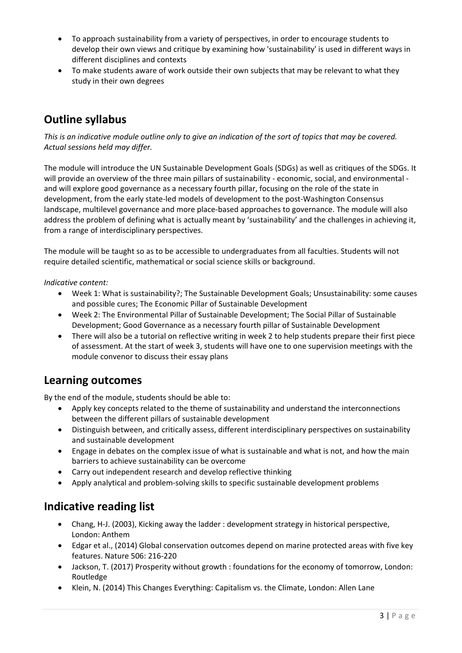- To approach sustainability from a variety of perspectives, in order to encourage students to develop their own views and critique by examining how 'sustainability' is used in different ways in different disciplines and contexts
- To make students aware of work outside their own subjects that may be relevant to what they study in their own degrees

### **Outline syllabus**

*This is an indicative module outline only to give an indication of the sort of topics that may be covered. Actual sessions held may differ.*

The module will introduce the UN Sustainable Development Goals (SDGs) as well as critiques of the SDGs. It will provide an overview of the three main pillars of sustainability - economic, social, and environmental and will explore good governance as a necessary fourth pillar, focusing on the role of the state in development, from the early state-led models of development to the post-Washington Consensus landscape, multilevel governance and more place-based approaches to governance. The module will also address the problem of defining what is actually meant by 'sustainability' and the challenges in achieving it, from a range of interdisciplinary perspectives.

The module will be taught so as to be accessible to undergraduates from all faculties. Students will not require detailed scientific, mathematical or social science skills or background.

#### *Indicative content:*

- Week 1: What is sustainability?; The Sustainable Development Goals; Unsustainability: some causes and possible cures; The Economic Pillar of Sustainable Development
- Week 2: The Environmental Pillar of Sustainable Development; The Social Pillar of Sustainable Development; Good Governance as a necessary fourth pillar of Sustainable Development
- There will also be a tutorial on reflective writing in week 2 to help students prepare their first piece of assessment. At the start of week 3, students will have one to one supervision meetings with the module convenor to discuss their essay plans

#### **Learning outcomes**

By the end of the module, students should be able to:

- Apply key concepts related to the theme of sustainability and understand the interconnections between the different pillars of sustainable development
- Distinguish between, and critically assess, different interdisciplinary perspectives on sustainability and sustainable development
- Engage in debates on the complex issue of what is sustainable and what is not, and how the main barriers to achieve sustainability can be overcome
- Carry out independent research and develop reflective thinking
- Apply analytical and problem-solving skills to specific sustainable development problems

### **Indicative reading list**

- Chang, H-J. (2003), Kicking away the ladder : development strategy in historical perspective, London: Anthem
- Edgar et al., (2014) Global conservation outcomes depend on marine protected areas with five key features. Nature 506: 216-220
- Jackson, T. (2017) Prosperity without growth : foundations for the economy of tomorrow, London: Routledge
- Klein, N. (2014) This Changes Everything: Capitalism vs. the Climate, London: Allen Lane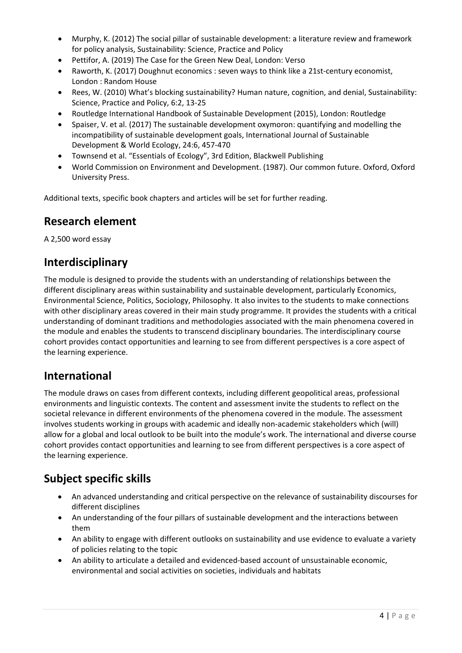- Murphy, K. (2012) The social pillar of sustainable development: a literature review and framework for policy analysis, Sustainability: Science, Practice and Policy
- Pettifor, A. (2019) The Case for the Green New Deal, London: Verso
- Raworth, K. (2017) Doughnut economics : seven ways to think like a 21st-century economist, London : Random House
- Rees, W. (2010) What's blocking sustainability? Human nature, cognition, and denial, Sustainability: Science, Practice and Policy, 6:2, 13-25
- Routledge International Handbook of Sustainable Development (2015), London: Routledge
- Spaiser, V. et al. (2017) The sustainable development oxymoron: quantifying and modelling the incompatibility of sustainable development goals, International Journal of Sustainable Development & World Ecology, 24:6, 457-470
- Townsend et al. "Essentials of Ecology", 3rd Edition, Blackwell Publishing
- World Commission on Environment and Development. (1987). Our common future. Oxford, Oxford University Press.

Additional texts, specific book chapters and articles will be set for further reading.

### **Research element**

A 2,500 word essay

### **Interdisciplinary**

The module is designed to provide the students with an understanding of relationships between the different disciplinary areas within sustainability and sustainable development, particularly Economics, Environmental Science, Politics, Sociology, Philosophy. It also invites to the students to make connections with other disciplinary areas covered in their main study programme. It provides the students with a critical understanding of dominant traditions and methodologies associated with the main phenomena covered in the module and enables the students to transcend disciplinary boundaries. The interdisciplinary course cohort provides contact opportunities and learning to see from different perspectives is a core aspect of the learning experience.

### **International**

The module draws on cases from different contexts, including different geopolitical areas, professional environments and linguistic contexts. The content and assessment invite the students to reflect on the societal relevance in different environments of the phenomena covered in the module. The assessment involves students working in groups with academic and ideally non-academic stakeholders which (will) allow for a global and local outlook to be built into the module's work. The international and diverse course cohort provides contact opportunities and learning to see from different perspectives is a core aspect of the learning experience.

## **Subject specific skills**

- An advanced understanding and critical perspective on the relevance of sustainability discourses for different disciplines
- An understanding of the four pillars of sustainable development and the interactions between them
- An ability to engage with different outlooks on sustainability and use evidence to evaluate a variety of policies relating to the topic
- An ability to articulate a detailed and evidenced-based account of unsustainable economic, environmental and social activities on societies, individuals and habitats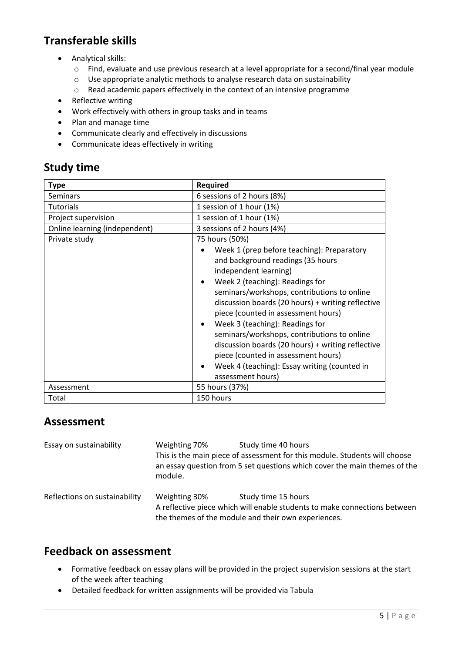## **Transferable skills**

- Analytical skills:
	- o Find, evaluate and use previous research at a level appropriate for a second/final year module
	- $\circ$  Use appropriate analytic methods to analyse research data on sustainability  $\circ$  Read academic papers effectively in the context of an intensive programme
	- Read academic papers effectively in the context of an intensive programme
- Reflective writing
- Work effectively with others in group tasks and in teams
- Plan and manage time
- Communicate clearly and effectively in discussions
- Communicate ideas effectively in writing

### **Study time**

| <b>Type</b>                   | <b>Required</b>                                                                                                                                                                                                                                                                                                                                                                                                                                                                                                                           |  |  |
|-------------------------------|-------------------------------------------------------------------------------------------------------------------------------------------------------------------------------------------------------------------------------------------------------------------------------------------------------------------------------------------------------------------------------------------------------------------------------------------------------------------------------------------------------------------------------------------|--|--|
| Seminars                      | 6 sessions of 2 hours (8%)                                                                                                                                                                                                                                                                                                                                                                                                                                                                                                                |  |  |
| <b>Tutorials</b>              | 1 session of 1 hour (1%)                                                                                                                                                                                                                                                                                                                                                                                                                                                                                                                  |  |  |
| Project supervision           | 1 session of 1 hour (1%)                                                                                                                                                                                                                                                                                                                                                                                                                                                                                                                  |  |  |
| Online learning (independent) | 3 sessions of 2 hours (4%)                                                                                                                                                                                                                                                                                                                                                                                                                                                                                                                |  |  |
| Private study                 | 75 hours (50%)                                                                                                                                                                                                                                                                                                                                                                                                                                                                                                                            |  |  |
|                               | Week 1 (prep before teaching): Preparatory<br>and background readings (35 hours<br>independent learning)<br>Week 2 (teaching): Readings for<br>seminars/workshops, contributions to online<br>discussion boards (20 hours) + writing reflective<br>piece (counted in assessment hours)<br>Week 3 (teaching): Readings for<br>seminars/workshops, contributions to online<br>discussion boards (20 hours) + writing reflective<br>piece (counted in assessment hours)<br>Week 4 (teaching): Essay writing (counted in<br>assessment hours) |  |  |
| Assessment                    | 55 hours (37%)                                                                                                                                                                                                                                                                                                                                                                                                                                                                                                                            |  |  |
| Total                         | 150 hours                                                                                                                                                                                                                                                                                                                                                                                                                                                                                                                                 |  |  |

### **Assessment**

| Essay on sustainability       | Weighting 70%<br>module. | Study time 40 hours<br>This is the main piece of assessment for this module. Students will choose<br>an essay question from 5 set questions which cover the main themes of the |
|-------------------------------|--------------------------|--------------------------------------------------------------------------------------------------------------------------------------------------------------------------------|
| Reflections on sustainability | Weighting 30%            | Study time 15 hours<br>A reflective piece which will enable students to make connections between<br>the themes of the module and their own experiences.                        |

- Formative feedback on essay plans will be provided in the project supervision sessions at the start of the week after teaching
- Detailed feedback for written assignments will be provided via Tabula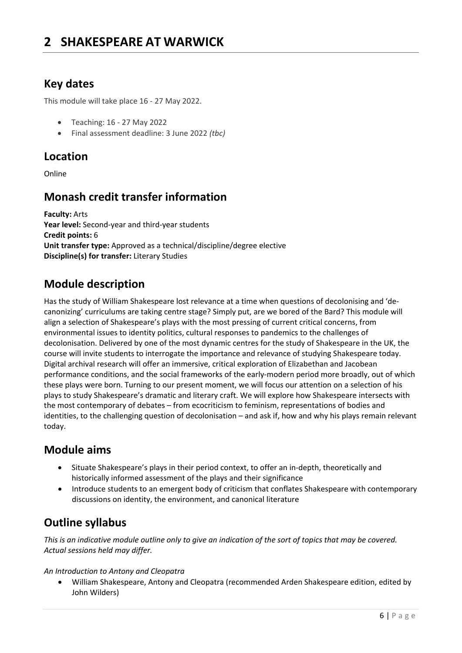### <span id="page-5-0"></span>**Key dates**

This module will take place 16 - 27 May 2022.

- Teaching: 16 27 May 2022
- Final assessment deadline: 3 June 2022 *(tbc)*

### **Location**

Online

## **Monash credit transfer information**

**Faculty:** Arts **Year level:** Second-year and third-year students **Credit points:** 6 **Unit transfer type:** Approved as a technical/discipline/degree elective **Discipline(s) for transfer:** Literary Studies

## **Module description**

Has the study of William Shakespeare lost relevance at a time when questions of decolonising and 'decanonizing' curriculums are taking centre stage? Simply put, are we bored of the Bard? This module will align a selection of Shakespeare's plays with the most pressing of current critical concerns, from environmental issues to identity politics, cultural responses to pandemics to the challenges of decolonisation. Delivered by one of the most dynamic centres for the study of Shakespeare in the UK, the course will invite students to interrogate the importance and relevance of studying Shakespeare today. Digital archival research will offer an immersive, critical exploration of Elizabethan and Jacobean performance conditions, and the social frameworks of the early-modern period more broadly, out of which these plays were born. Turning to our present moment, we will focus our attention on a selection of his plays to study Shakespeare's dramatic and literary craft. We will explore how Shakespeare intersects with the most contemporary of debates – from ecocriticism to feminism, representations of bodies and identities, to the challenging question of decolonisation – and ask if, how and why his plays remain relevant today.

### **Module aims**

- Situate Shakespeare's plays in their period context, to offer an in-depth, theoretically and historically informed assessment of the plays and their significance
- Introduce students to an emergent body of criticism that conflates Shakespeare with contemporary discussions on identity, the environment, and canonical literature

## **Outline syllabus**

*This is an indicative module outline only to give an indication of the sort of topics that may be covered. Actual sessions held may differ.*

#### *An Introduction to Antony and Cleopatra*

• William Shakespeare, Antony and Cleopatra (recommended Arden Shakespeare edition, edited by John Wilders)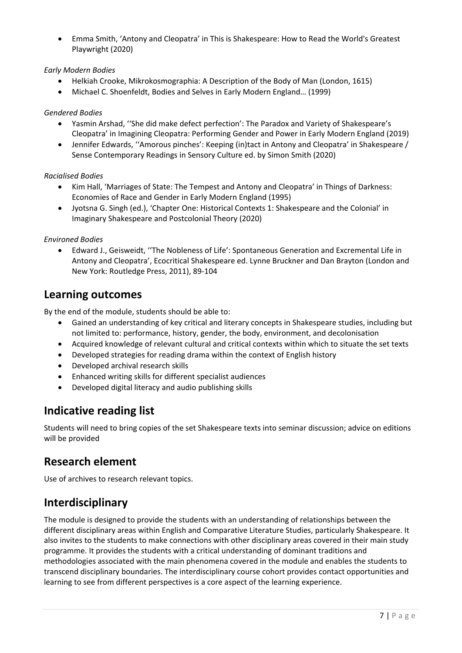• Emma Smith, 'Antony and Cleopatra' in This is Shakespeare: How to Read the World's Greatest Playwright (2020)

#### *Early Modern Bodies*

- Helkiah Crooke, Mikrokosmographia: A Description of the Body of Man (London, 1615)
- Michael C. Shoenfeldt, Bodies and Selves in Early Modern England… (1999)

#### *Gendered Bodies*

- Yasmin Arshad, ''She did make defect perfection': The Paradox and Variety of Shakespeare's Cleopatra' in Imagining Cleopatra: Performing Gender and Power in Early Modern England (2019)
- Jennifer Edwards, ''Amorous pinches': Keeping (in)tact in Antony and Cleopatra' in Shakespeare / Sense Contemporary Readings in Sensory Culture ed. by Simon Smith (2020)

#### *Racialised Bodies*

- Kim Hall, 'Marriages of State: The Tempest and Antony and Cleopatra' in Things of Darkness: Economies of Race and Gender in Early Modern England (1995)
- Jyotsna G. Singh (ed.), 'Chapter One: Historical Contexts 1: Shakespeare and the Colonial' in Imaginary Shakespeare and Postcolonial Theory (2020)

#### *Environed Bodies*

• Edward J., Geisweidt, ''The Nobleness of Life': Spontaneous Generation and Excremental Life in Antony and Cleopatra', Ecocritical Shakespeare ed. Lynne Bruckner and Dan Brayton (London and New York: Routledge Press, 2011), 89-104

#### **Learning outcomes**

By the end of the module, students should be able to:

- Gained an understanding of key critical and literary concepts in Shakespeare studies, including but not limited to: performance, history, gender, the body, environment, and decolonisation
- Acquired knowledge of relevant cultural and critical contexts within which to situate the set texts
- Developed strategies for reading drama within the context of English history
- Developed archival research skills
- Enhanced writing skills for different specialist audiences
- Developed digital literacy and audio publishing skills

### **Indicative reading list**

Students will need to bring copies of the set Shakespeare texts into seminar discussion; advice on editions will be provided

### **Research element**

Use of archives to research relevant topics.

### **Interdisciplinary**

The module is designed to provide the students with an understanding of relationships between the different disciplinary areas within English and Comparative Literature Studies, particularly Shakespeare. It also invites to the students to make connections with other disciplinary areas covered in their main study programme. It provides the students with a critical understanding of dominant traditions and methodologies associated with the main phenomena covered in the module and enables the students to transcend disciplinary boundaries. The interdisciplinary course cohort provides contact opportunities and learning to see from different perspectives is a core aspect of the learning experience.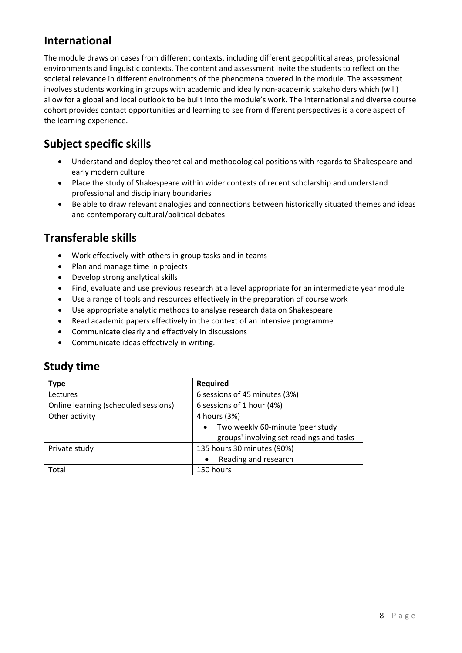### **International**

The module draws on cases from different contexts, including different geopolitical areas, professional environments and linguistic contexts. The content and assessment invite the students to reflect on the societal relevance in different environments of the phenomena covered in the module. The assessment involves students working in groups with academic and ideally non-academic stakeholders which (will) allow for a global and local outlook to be built into the module's work. The international and diverse course cohort provides contact opportunities and learning to see from different perspectives is a core aspect of the learning experience.

## **Subject specific skills**

- Understand and deploy theoretical and methodological positions with regards to Shakespeare and early modern culture
- Place the study of Shakespeare within wider contexts of recent scholarship and understand professional and disciplinary boundaries
- Be able to draw relevant analogies and connections between historically situated themes and ideas and contemporary cultural/political debates

### **Transferable skills**

- Work effectively with others in group tasks and in teams
- Plan and manage time in projects
- Develop strong analytical skills
- Find, evaluate and use previous research at a level appropriate for an intermediate year module
- Use a range of tools and resources effectively in the preparation of course work
- Use appropriate analytic methods to analyse research data on Shakespeare
- Read academic papers effectively in the context of an intensive programme
- Communicate clearly and effectively in discussions
- Communicate ideas effectively in writing.

### **Study time**

| <b>Type</b>                          | Required                                      |
|--------------------------------------|-----------------------------------------------|
| Lectures                             | 6 sessions of 45 minutes (3%)                 |
| Online learning (scheduled sessions) | 6 sessions of 1 hour (4%)                     |
| Other activity                       | 4 hours (3%)                                  |
|                                      | Two weekly 60-minute 'peer study<br>$\bullet$ |
|                                      | groups' involving set readings and tasks      |
| Private study                        | 135 hours 30 minutes (90%)                    |
|                                      | Reading and research                          |
| Total                                | 150 hours                                     |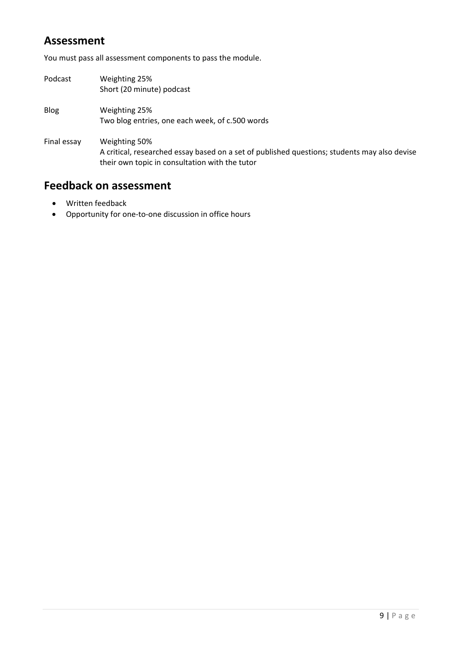### **Assessment**

You must pass all assessment components to pass the module.

Podcast Weighting 25% Short (20 minute) podcast Blog Weighting 25% Two blog entries, one each week, of c.500 words Final essay Weighting 50% A critical, researched essay based on a set of published questions; students may also devise their own topic in consultation with the tutor

- Written feedback
- Opportunity for one-to-one discussion in office hours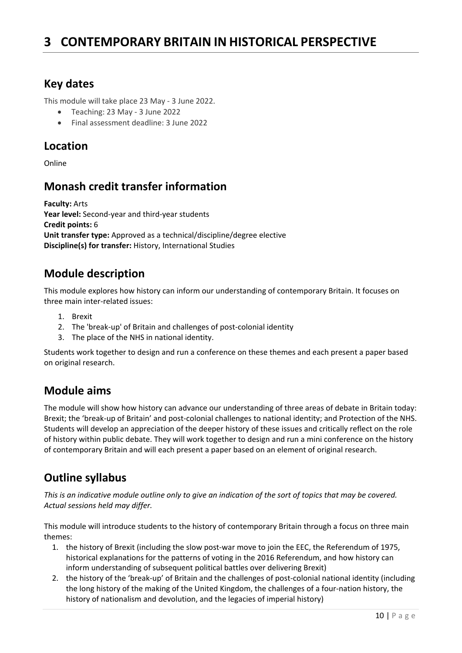## <span id="page-9-0"></span>**3 CONTEMPORARY BRITAIN IN HISTORICAL PERSPECTIVE**

### **Key dates**

This module will take place 23 May - 3 June 2022.

- Teaching: 23 May 3 June 2022
- Final assessment deadline: 3 June 2022

#### **Location**

Online

### **Monash credit transfer information**

**Faculty:** Arts **Year level:** Second-year and third-year students **Credit points:** 6 **Unit transfer type:** Approved as a technical/discipline/degree elective **Discipline(s) for transfer:** History, International Studies

### **Module description**

This module explores how history can inform our understanding of contemporary Britain. It focuses on three main inter-related issues:

- 1. Brexit
- 2. The 'break-up' of Britain and challenges of post-colonial identity
- 3. The place of the NHS in national identity.

Students work together to design and run a conference on these themes and each present a paper based on original research.

### **Module aims**

The module will show how history can advance our understanding of three areas of debate in Britain today: Brexit; the 'break-up of Britain' and post-colonial challenges to national identity; and Protection of the NHS. Students will develop an appreciation of the deeper history of these issues and critically reflect on the role of history within public debate. They will work together to design and run a mini conference on the history of contemporary Britain and will each present a paper based on an element of original research.

### **Outline syllabus**

*This is an indicative module outline only to give an indication of the sort of topics that may be covered. Actual sessions held may differ.*

This module will introduce students to the history of contemporary Britain through a focus on three main themes:

- 1. the history of Brexit (including the slow post-war move to join the EEC, the Referendum of 1975, historical explanations for the patterns of voting in the 2016 Referendum, and how history can inform understanding of subsequent political battles over delivering Brexit)
- 2. the history of the 'break-up' of Britain and the challenges of post-colonial national identity (including the long history of the making of the United Kingdom, the challenges of a four-nation history, the history of nationalism and devolution, and the legacies of imperial history)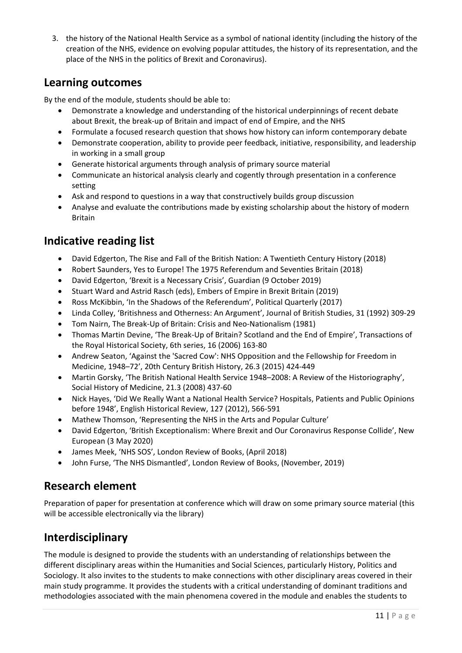3. the history of the National Health Service as a symbol of national identity (including the history of the creation of the NHS, evidence on evolving popular attitudes, the history of its representation, and the place of the NHS in the politics of Brexit and Coronavirus).

### **Learning outcomes**

By the end of the module, students should be able to:

- Demonstrate a knowledge and understanding of the historical underpinnings of recent debate about Brexit, the break-up of Britain and impact of end of Empire, and the NHS
- Formulate a focused research question that shows how history can inform contemporary debate
- Demonstrate cooperation, ability to provide peer feedback, initiative, responsibility, and leadership in working in a small group
- Generate historical arguments through analysis of primary source material
- Communicate an historical analysis clearly and cogently through presentation in a conference setting
- Ask and respond to questions in a way that constructively builds group discussion
- Analyse and evaluate the contributions made by existing scholarship about the history of modern Britain

### **Indicative reading list**

- David Edgerton, The Rise and Fall of the British Nation: A Twentieth Century History (2018)
- Robert Saunders, Yes to Europe! The 1975 Referendum and Seventies Britain (2018)
- David Edgerton, 'Brexit is a Necessary Crisis', Guardian (9 October 2019)
- Stuart Ward and Astrid Rasch (eds), Embers of Empire in Brexit Britain (2019)
- Ross McKibbin, 'In the Shadows of the Referendum', Political Quarterly (2017)
- Linda Colley, 'Britishness and Otherness: An Argument', Journal of British Studies, 31 (1992) 309-29
- Tom Nairn, The Break-Up of Britain: Crisis and Neo-Nationalism (1981)
- Thomas Martin Devine, 'The Break-Up of Britain? Scotland and the End of Empire', Transactions of the Royal Historical Society, 6th series, 16 (2006) 163-80
- Andrew Seaton, 'Against the 'Sacred Cow': NHS Opposition and the Fellowship for Freedom in Medicine, 1948–72', 20th Century British History, 26.3 (2015) 424-449
- Martin Gorsky, 'The British National Health Service 1948–2008: A Review of the Historiography', Social History of Medicine, 21.3 (2008) 437-60
- Nick Hayes, 'Did We Really Want a National Health Service? Hospitals, Patients and Public Opinions before 1948', English Historical Review, 127 (2012), 566-591
- Mathew Thomson, 'Representing the NHS in the Arts and Popular Culture'
- David Edgerton, 'British Exceptionalism: Where Brexit and Our Coronavirus Response Collide', New European (3 May 2020)
- James Meek, 'NHS SOS', London Review of Books, (April 2018)
- John Furse, 'The NHS Dismantled', London Review of Books, (November, 2019)

### **Research element**

Preparation of paper for presentation at conference which will draw on some primary source material (this will be accessible electronically via the library)

### **Interdisciplinary**

The module is designed to provide the students with an understanding of relationships between the different disciplinary areas within the Humanities and Social Sciences, particularly History, Politics and Sociology. It also invites to the students to make connections with other disciplinary areas covered in their main study programme. It provides the students with a critical understanding of dominant traditions and methodologies associated with the main phenomena covered in the module and enables the students to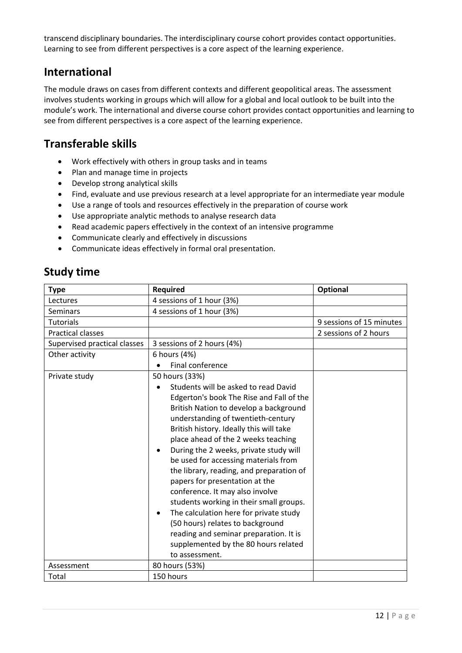transcend disciplinary boundaries. The interdisciplinary course cohort provides contact opportunities. Learning to see from different perspectives is a core aspect of the learning experience.

### **International**

The module draws on cases from different contexts and different geopolitical areas. The assessment involves students working in groups which will allow for a global and local outlook to be built into the module's work. The international and diverse course cohort provides contact opportunities and learning to see from different perspectives is a core aspect of the learning experience.

### **Transferable skills**

- Work effectively with others in group tasks and in teams
- Plan and manage time in projects
- Develop strong analytical skills
- Find, evaluate and use previous research at a level appropriate for an intermediate year module
- Use a range of tools and resources effectively in the preparation of course work
- Use appropriate analytic methods to analyse research data
- Read academic papers effectively in the context of an intensive programme
- Communicate clearly and effectively in discussions
- Communicate ideas effectively in formal oral presentation.

### **Study time**

| <b>Type</b>                  | <b>Required</b>                                                                                                                                                                                                                                                                                                                                                                                                                                                                                                                                                                                                                                                                                 | Optional                 |
|------------------------------|-------------------------------------------------------------------------------------------------------------------------------------------------------------------------------------------------------------------------------------------------------------------------------------------------------------------------------------------------------------------------------------------------------------------------------------------------------------------------------------------------------------------------------------------------------------------------------------------------------------------------------------------------------------------------------------------------|--------------------------|
| Lectures                     | 4 sessions of 1 hour (3%)                                                                                                                                                                                                                                                                                                                                                                                                                                                                                                                                                                                                                                                                       |                          |
| Seminars                     | 4 sessions of 1 hour (3%)                                                                                                                                                                                                                                                                                                                                                                                                                                                                                                                                                                                                                                                                       |                          |
| <b>Tutorials</b>             |                                                                                                                                                                                                                                                                                                                                                                                                                                                                                                                                                                                                                                                                                                 | 9 sessions of 15 minutes |
| <b>Practical classes</b>     |                                                                                                                                                                                                                                                                                                                                                                                                                                                                                                                                                                                                                                                                                                 | 2 sessions of 2 hours    |
| Supervised practical classes | 3 sessions of 2 hours (4%)                                                                                                                                                                                                                                                                                                                                                                                                                                                                                                                                                                                                                                                                      |                          |
| Other activity               | 6 hours (4%)                                                                                                                                                                                                                                                                                                                                                                                                                                                                                                                                                                                                                                                                                    |                          |
|                              | Final conference                                                                                                                                                                                                                                                                                                                                                                                                                                                                                                                                                                                                                                                                                |                          |
| Private study                | 50 hours (33%)<br>Students will be asked to read David<br>Edgerton's book The Rise and Fall of the<br>British Nation to develop a background<br>understanding of twentieth-century<br>British history. Ideally this will take<br>place ahead of the 2 weeks teaching<br>During the 2 weeks, private study will<br>be used for accessing materials from<br>the library, reading, and preparation of<br>papers for presentation at the<br>conference. It may also involve<br>students working in their small groups.<br>The calculation here for private study<br>$\bullet$<br>(50 hours) relates to background<br>reading and seminar preparation. It is<br>supplemented by the 80 hours related |                          |
| Assessment                   | to assessment.<br>80 hours (53%)                                                                                                                                                                                                                                                                                                                                                                                                                                                                                                                                                                                                                                                                |                          |
| Total                        | 150 hours                                                                                                                                                                                                                                                                                                                                                                                                                                                                                                                                                                                                                                                                                       |                          |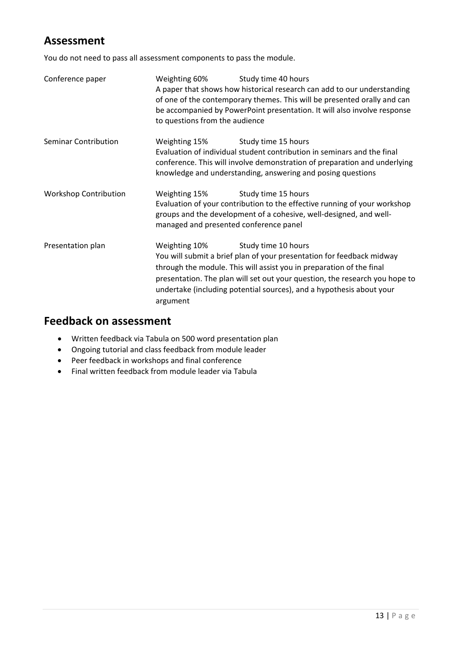### **Assessment**

You do not need to pass all assessment components to pass the module.

| Conference paper                               | Weighting 60%<br>to questions from the audience | Study time 40 hours<br>A paper that shows how historical research can add to our understanding<br>of one of the contemporary themes. This will be presented orally and can<br>be accompanied by PowerPoint presentation. It will also involve response                                                                      |
|------------------------------------------------|-------------------------------------------------|-----------------------------------------------------------------------------------------------------------------------------------------------------------------------------------------------------------------------------------------------------------------------------------------------------------------------------|
| <b>Seminar Contribution</b>                    | Weighting 15%                                   | Study time 15 hours<br>Evaluation of individual student contribution in seminars and the final<br>conference. This will involve demonstration of preparation and underlying<br>knowledge and understanding, answering and posing questions                                                                                  |
| <b>Workshop Contribution</b>                   | Weighting 15%                                   | Study time 15 hours<br>Evaluation of your contribution to the effective running of your workshop<br>groups and the development of a cohesive, well-designed, and well-<br>managed and presented conference panel                                                                                                            |
| Presentation plan<br>Weighting 10%<br>argument |                                                 | Study time 10 hours<br>You will submit a brief plan of your presentation for feedback midway<br>through the module. This will assist you in preparation of the final<br>presentation. The plan will set out your question, the research you hope to<br>undertake (including potential sources), and a hypothesis about your |

- Written feedback via Tabula on 500 word presentation plan
- Ongoing tutorial and class feedback from module leader
- Peer feedback in workshops and final conference
- Final written feedback from module leader via Tabula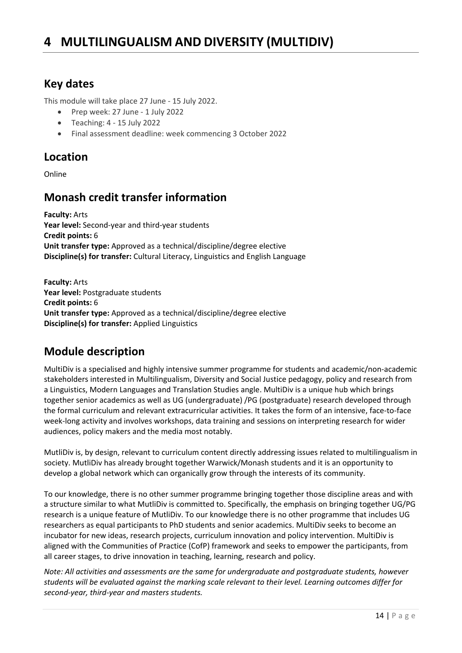### <span id="page-13-0"></span>**Key dates**

This module will take place 27 June - 15 July 2022.

- Prep week: 27 June 1 July 2022
- Teaching: 4 15 July 2022
- Final assessment deadline: week commencing 3 October 2022

### **Location**

Online

## **Monash credit transfer information**

**Faculty:** Arts **Year level:** Second-year and third-year students **Credit points:** 6 **Unit transfer type:** Approved as a technical/discipline/degree elective **Discipline(s) for transfer:** Cultural Literacy, Linguistics and English Language

**Faculty:** Arts **Year level:** Postgraduate students **Credit points:** 6 **Unit transfer type:** Approved as a technical/discipline/degree elective **Discipline(s) for transfer:** Applied Linguistics

## **Module description**

MultiDiv is a specialised and highly intensive summer programme for students and academic/non-academic stakeholders interested in Multilingualism, Diversity and Social Justice pedagogy, policy and research from a Linguistics, Modern Languages and Translation Studies angle. MultiDiv is a unique hub which brings together senior academics as well as UG (undergraduate) /PG (postgraduate) research developed through the formal curriculum and relevant extracurricular activities. It takes the form of an intensive, face-to-face week-long activity and involves workshops, data training and sessions on interpreting research for wider audiences, policy makers and the media most notably.

MutliDiv is, by design, relevant to curriculum content directly addressing issues related to multilingualism in society. MutliDiv has already brought together Warwick/Monash students and it is an opportunity to develop a global network which can organically grow through the interests of its community.

To our knowledge, there is no other summer programme bringing together those discipline areas and with a structure similar to what MutliDiv is committed to. Specifically, the emphasis on bringing together UG/PG research is a unique feature of MutliDiv. To our knowledge there is no other programme that includes UG researchers as equal participants to PhD students and senior academics. MultiDiv seeks to become an incubator for new ideas, research projects, curriculum innovation and policy intervention. MultiDiv is aligned with the Communities of Practice (CofP) framework and seeks to empower the participants, from all career stages, to drive innovation in teaching, learning, research and policy.

*Note: All activities and assessments are the same for undergraduate and postgraduate students, however students will be evaluated against the marking scale relevant to their level. Learning outcomes differ for second-year, third-year and masters students.*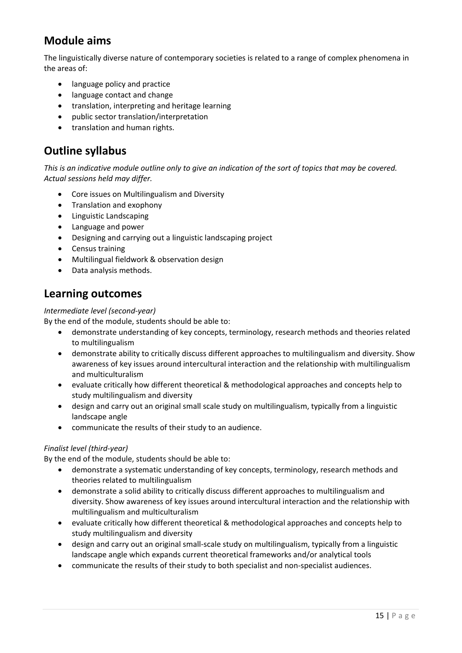## **Module aims**

The linguistically diverse nature of contemporary societies is related to a range of complex phenomena in the areas of:

- language policy and practice
- language contact and change
- translation, interpreting and heritage learning
- public sector translation/interpretation
- translation and human rights.

### **Outline syllabus**

*This is an indicative module outline only to give an indication of the sort of topics that may be covered. Actual sessions held may differ.*

- Core issues on Multilingualism and Diversity
- Translation and exophony
- Linguistic Landscaping
- Language and power
- Designing and carrying out a linguistic landscaping project
- Census training
- Multilingual fieldwork & observation design
- Data analysis methods.

#### **Learning outcomes**

#### *Intermediate level (second-year)*

By the end of the module, students should be able to:

- demonstrate understanding of key concepts, terminology, research methods and theories related to multilingualism
- demonstrate ability to critically discuss different approaches to multilingualism and diversity. Show awareness of key issues around intercultural interaction and the relationship with multilingualism and multiculturalism
- evaluate critically how different theoretical & methodological approaches and concepts help to study multilingualism and diversity
- design and carry out an original small scale study on multilingualism, typically from a linguistic landscape angle
- communicate the results of their study to an audience.

#### *Finalist level (third-year)*

By the end of the module, students should be able to:

- demonstrate a systematic understanding of key concepts, terminology, research methods and theories related to multilingualism
- demonstrate a solid ability to critically discuss different approaches to multilingualism and diversity. Show awareness of key issues around intercultural interaction and the relationship with multilingualism and multiculturalism
- evaluate critically how different theoretical & methodological approaches and concepts help to study multilingualism and diversity
- design and carry out an original small-scale study on multilingualism, typically from a linguistic landscape angle which expands current theoretical frameworks and/or analytical tools
- communicate the results of their study to both specialist and non-specialist audiences.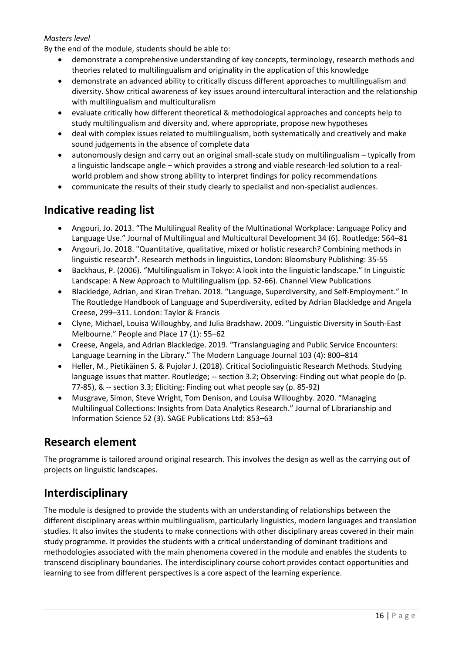#### *Masters level*

By the end of the module, students should be able to:

- demonstrate a comprehensive understanding of key concepts, terminology, research methods and theories related to multilingualism and originality in the application of this knowledge
- demonstrate an advanced ability to critically discuss different approaches to multilingualism and diversity. Show critical awareness of key issues around intercultural interaction and the relationship with multilingualism and multiculturalism
- evaluate critically how different theoretical & methodological approaches and concepts help to study multilingualism and diversity and, where appropriate, propose new hypotheses
- deal with complex issues related to multilingualism, both systematically and creatively and make sound judgements in the absence of complete data
- autonomously design and carry out an original small-scale study on multilingualism typically from a linguistic landscape angle – which provides a strong and viable research-led solution to a realworld problem and show strong ability to interpret findings for policy recommendations
- communicate the results of their study clearly to specialist and non-specialist audiences.

### **Indicative reading list**

- Angouri, Jo. 2013. "The Multilingual Reality of the Multinational Workplace: Language Policy and Language Use." Journal of Multilingual and Multicultural Development 34 (6). Routledge: 564–81
- Angouri, Jo. 2018. "Quantitative, qualitative, mixed or holistic research? Combining methods in linguistic research". Research methods in linguistics, London: Bloomsbury Publishing: 35-55
- Backhaus, P. (2006). "Multilingualism in Tokyo: A look into the linguistic landscape." In Linguistic Landscape: A New Approach to Multilingualism (pp. 52-66). Channel View Publications
- Blackledge, Adrian, and Kiran Trehan. 2018. "Language, Superdiversity, and Self-Employment." In The Routledge Handbook of Language and Superdiversity, edited by Adrian Blackledge and Angela Creese, 299–311. London: Taylor & Francis
- Clyne, Michael, Louisa Willoughby, and Julia Bradshaw. 2009. "Linguistic Diversity in South-East Melbourne." People and Place 17 (1): 55–62
- Creese, Angela, and Adrian Blackledge. 2019. "Translanguaging and Public Service Encounters: Language Learning in the Library." The Modern Language Journal 103 (4): 800–814
- Heller, M., Pietikäinen S. & Pujolar J. (2018). Critical Sociolinguistic Research Methods. Studying language issues that matter. Routledge; -- section 3.2; Observing: Finding out what people do (p. 77-85), & -- section 3.3; Eliciting: Finding out what people say (p. 85-92)
- Musgrave, Simon, Steve Wright, Tom Denison, and Louisa Willoughby. 2020. "Managing Multilingual Collections: Insights from Data Analytics Research." Journal of Librarianship and Information Science 52 (3). SAGE Publications Ltd: 853–63

### **Research element**

The programme is tailored around original research. This involves the design as well as the carrying out of projects on linguistic landscapes.

## **Interdisciplinary**

The module is designed to provide the students with an understanding of relationships between the different disciplinary areas within multilingualism, particularly linguistics, modern languages and translation studies. It also invites the students to make connections with other disciplinary areas covered in their main study programme. It provides the students with a critical understanding of dominant traditions and methodologies associated with the main phenomena covered in the module and enables the students to transcend disciplinary boundaries. The interdisciplinary course cohort provides contact opportunities and learning to see from different perspectives is a core aspect of the learning experience.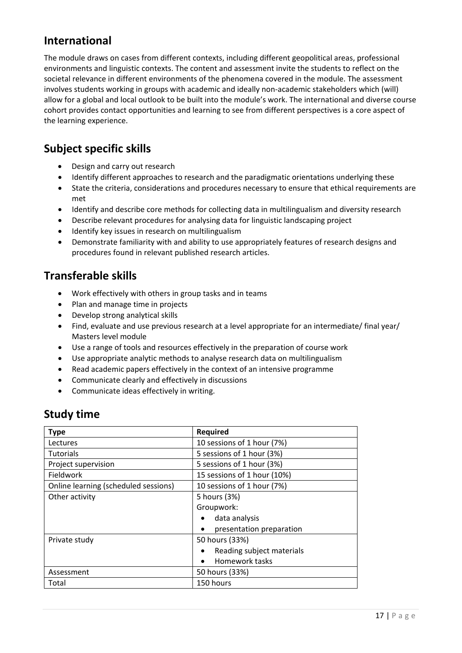### **International**

The module draws on cases from different contexts, including different geopolitical areas, professional environments and linguistic contexts. The content and assessment invite the students to reflect on the societal relevance in different environments of the phenomena covered in the module. The assessment involves students working in groups with academic and ideally non-academic stakeholders which (will) allow for a global and local outlook to be built into the module's work. The international and diverse course cohort provides contact opportunities and learning to see from different perspectives is a core aspect of the learning experience.

### **Subject specific skills**

- Design and carry out research
- Identify different approaches to research and the paradigmatic orientations underlying these
- State the criteria, considerations and procedures necessary to ensure that ethical requirements are met
- Identify and describe core methods for collecting data in multilingualism and diversity research
- Describe relevant procedures for analysing data for linguistic landscaping project
- Identify key issues in research on multilingualism
- Demonstrate familiarity with and ability to use appropriately features of research designs and procedures found in relevant published research articles.

## **Transferable skills**

- Work effectively with others in group tasks and in teams
- Plan and manage time in projects
- Develop strong analytical skills
- Find, evaluate and use previous research at a level appropriate for an intermediate/ final year/ Masters level module
- Use a range of tools and resources effectively in the preparation of course work
- Use appropriate analytic methods to analyse research data on multilingualism
- Read academic papers effectively in the context of an intensive programme
- Communicate clearly and effectively in discussions
- Communicate ideas effectively in writing.

## **Study time**

| <b>Type</b>                          | <b>Required</b>                        |  |
|--------------------------------------|----------------------------------------|--|
| Lectures                             | 10 sessions of 1 hour (7%)             |  |
| <b>Tutorials</b>                     | 5 sessions of 1 hour (3%)              |  |
| Project supervision                  | 5 sessions of 1 hour (3%)              |  |
| Fieldwork                            | 15 sessions of 1 hour (10%)            |  |
| Online learning (scheduled sessions) | 10 sessions of 1 hour (7%)             |  |
| Other activity                       | 5 hours (3%)                           |  |
|                                      | Groupwork:                             |  |
|                                      | data analysis                          |  |
|                                      | presentation preparation               |  |
| Private study                        | 50 hours (33%)                         |  |
|                                      | Reading subject materials<br>$\bullet$ |  |
|                                      | Homework tasks                         |  |
| Assessment                           | 50 hours (33%)                         |  |
| Total                                | 150 hours                              |  |